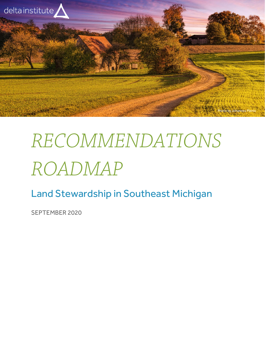

# RECOMMENDATIONS ROADMAP

Land Stewardship in Southeast Michigan

SEPTEMBER 2020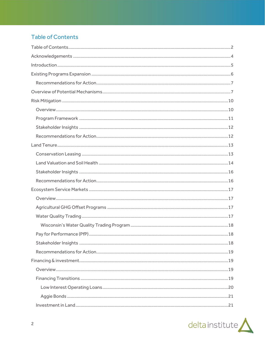# <span id="page-1-0"></span>**Table of Contents**

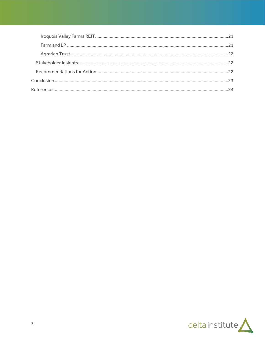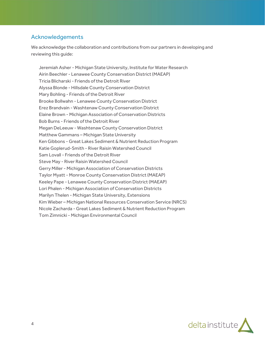# <span id="page-3-0"></span>Acknowledgements

We acknowledge the collaboration and contributions from our partners in developing and reviewing this guide:

Jeremiah Asher - Michigan State University, Institute for Water Research Airin Beechler - Lenawee County Conservation District (MAEAP) Tricia Blicharski - Friends of the Detroit River Alyssa Blonde - Hillsdale County Conservation District Mary Bohling - Friends of the Detroit River Brooke Bollwahn - Lenawee County Conservation District Erez Brandvain - Washtenaw County Conservation District Elaine Brown - Michigan Association of Conservation Districts Bob Burns - Friends of the Detroit River Megan DeLeeuw - Washtenaw County Conservation District Matthew Gammans – Michigan State University Ken Gibbons - Great Lakes Sediment & Nutrient Reduction Program Katie Goplerud-Smith - River Raisin Watershed Council Sam Lovall - Friends of the Detroit River Steve May - River Raisin Watershed Council Gerry Miller - Michigan Association of Conservation Districts Taylor Myatt - Monroe County Conservation District (MAEAP) Keeley Pape - Lenawee County Conservation District (MAEAP) Lori Phalen - Michigan Association of Conservation Districts Marilyn Thelen - Michigan State University, Extensions Kim Wieber – Michigan National Resources Conservation Service (NRCS) Nicole Zacharda - Great Lakes Sediment & Nutrient Reduction Program Tom Zimnicki - Michigan Environmental Council

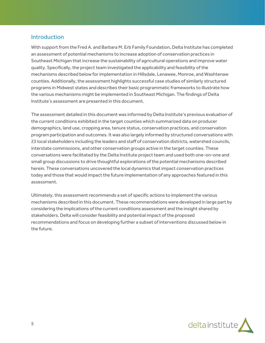## <span id="page-4-0"></span>Introduction

With support from the Fred A. and Barbara M. Erb Family Foundation, Delta Institute has completed an assessment of potential mechanisms to increase adoption of conservation practices in Southeast Michigan that increase the sustainability of agricultural operations and improve water quality. Specifically, the project team investigated the applicability and feasibility of the mechanisms described below for implementation in Hillsdale, Lenawee, Monroe, and Washtenaw counties. Additionally, the assessment highlights successful case studies of similarly structured programs in Midwest states and describes their basic programmatic frameworks to illustrate how the various mechanisms might be implemented in Southeast Michigan. The findings of Delta Institute's assessment are presented in this document.

The assessment detailed in this document was informed by Delta Institute's previous evaluation of the current conditions exhibited in the target counties which summarized data on producer demographics, land use, cropping area, tenure status, conservation practices, and conservation program participation and outcomes. It was also largely informed by structured conversations with 23 local stakeholders including the leaders and staff of conservation districts, watershed councils, interstate commissions, and other conservation groups active in the target counties. These conversations were facilitated by the Delta Institute project team and used both one-on-one and small group discussions to drive thoughtful explorations of the potential mechanisms described herein. These conversations uncovered the local dynamics that impact conservation practices today and those that would impact the future implementation of any approaches featured in this assessment.

Ultimately, this assessment recommends a set of specific actions to implement the various mechanisms described in this document. These recommendations were developed in large part by considering the implications of the current conditions assessment and the insight shared by stakeholders. Delta will consider feasibility and potential impact of the proposed recommendations and focus on developing further a subset of interventions discussed below in the future.

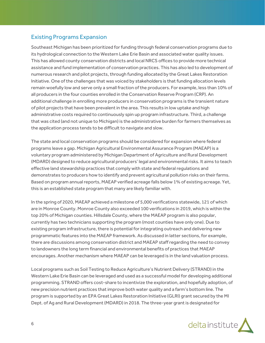# <span id="page-5-0"></span>Existing Programs Expansion

Southeast Michigan has been prioritized for funding through federal conservation programs due to its hydrological connection to the Western Lake Erie Basin and associated water quality issues. This has allowed county conservation districts and local NRCS offices to provide more technical assistance and fund implementation of conservation practices. This has also led to development of numerous research and pilot projects, through funding allocated by the Great Lakes Restoration Initiative. One of the challenges that was voiced by stakeholders is that funding allocation levels remain woefully low and serve only a small fraction of the producers. For example, less than 10% of all producers in the four counties enrolled in the Conservation Reserve Program (CRP). An additional challenge in enrolling more producers in conservation programs is the transient nature of pilot projects that have been prevalent in the area. This results in low uptake and high administrative costs required to continuously spin up program infrastructure. Third, a challenge that was cited (and not unique to Michigan) is the administrative burden for farmers themselves as the application process tends to be difficult to navigate and slow.

The state and local conservation programs should be considered for expansion where federal programs leave a gap. Michigan Agricultural Environmental Assurance Program (MAEAP) is a voluntary program administered by Michigan Department of Agriculture and Rural Development (MDARD) designed to reduce agricultural producers' legal and environmental risks. It aims to teach effective land stewardship practices that comply with state and federal regulations and demonstrates to producers how to identify and prevent agricultural pollution risks on their farms. Based on program annual reports, MAEAP verified acreage falls below 1% of existing acreage. Yet, this is an established state program that many are likely familiar with.

In the spring of 2020, MAEAP achieved a milestone of 5,000 verifications statewide, 121 of which are in Monroe County. Monroe County also exceeded 100 verifications in 2019, which is within the top 20% of Michigan counties. Hillsdale County, where the MAEAP program is also popular, currently has two technicians supporting the program (most counties have only one). Due to existing program infrastructure, there is potential for integrating outreach and delivering new programmatic features into the MAEAP framework. As discussed in latter sections, for example, there are discussions among conservation district and MAEAP staff regarding the need to convey to landowners the long term financial and environmental benefits of practices that MAEAP encourages. Another mechanism where MAEAP can be leveraged is in the land valuation process.

Local programs such as Soil Testing to Reduce Agriculture's Nutrient Delivery (STRAND) in the Western Lake Erie Basin can be leveraged and used as a successful model for developing additional programming. STRAND offers cost-share to incentivize the exploration, and hopefully adoption, of new precision nutrient practices that improve both water quality and a farm's bottom line. The program is supported by an EPA Great Lakes Restoration Initiative (GLRI) grant secured by the MI Dept. of Ag and Rural Development (MDARD) in 2018. The three-year grant is designated for

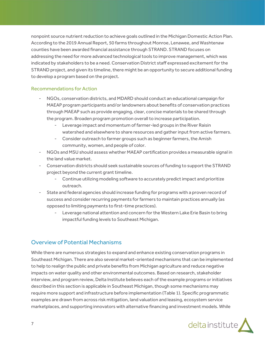nonpoint source nutrient reduction to achieve goals outlined in the Michigan Domestic Action Plan. According to the 2019 Annual Report, 50 farms throughout Monroe, Lenawee, and Washtenaw counties have been awarded financial assistance through STRAND. STRAND focuses on addressing the need for more advanced technological tools to improve management, which was indicated by stakeholders to be a need. Conservation District staff expressed excitement for the STRAND project, and given its timeline, there might be an opportunity to secure additional funding to develop a program based on the project.

#### <span id="page-6-0"></span>Recommendations for Action

- NGOs, conservation districts, and MDARD should conduct an educational campaign for MAEAP program participants and/or landowners about benefits of conservation practices through MAEAP such as provide engaging, clear, concise materials to be shared through the program. Broaden program promotion overall to increase participation.
	- Leverage impact and momentum of farmer-led groups in the River Raisin watershed and elsewhere to share resources and gather input from active farmers.
	- Consider outreach to farmer groups such as beginner farmers, the Amish community, women, and people of color.
- NGOs and MSU should assess whether MAEAP certification provides a measurable signal in the land value market.
- Conservation districts should seek sustainable sources of funding to support the STRAND project beyond the current grant timeline.
	- Continue utilizing modeling software to accurately predict impact and prioritize outreach.
- State and federal agencies should increase funding for programs with a proven record of success and consider recurring payments for farmers to maintain practices annually (as opposed to limiting payments to first-time practices).
	- Leverage national attention and concern for the Western Lake Erie Basin to bring impactful funding levels to Southeast Michigan.

# <span id="page-6-1"></span>Overview of Potential Mechanisms

While there are numerous strategies to expand and enhance existing conservation programs in Southeast Michigan. There are also several market-oriented mechanisms that can be implemented to help to realign the public and private benefits from Michigan agriculture and reduce negative impacts on water quality and other environmental outcomes. Based on research, stakeholder interview, and program review, Delta Institute believes each of the example programs or initiatives described in this section is applicable in Southeast Michigan, though some mechanisms may require more support and infrastructure before implementation (Table 1). Specific programmatic examples are drawn from across risk mitigation, land valuation and leasing, ecosystem service marketplaces, and supporting innovators with alternative financing and investment models. While

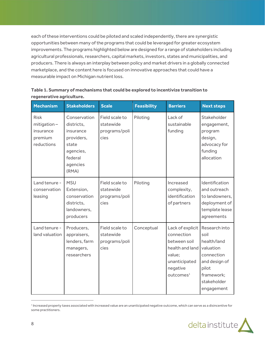each of these interventions could be piloted and scaled independently, there are synergistic opportunities between many of the programs that could be leveraged for greater ecosystem improvements. The programs highlighted below are designed for a range of stakeholders including agricultural professionals, researchers, capital markets, investors, states and municipalities, and producers. There is always an interplay between policy and market drivers in a globally connected marketplace, and the content here is focused on innovative approaches that could have a measurable impact on Michigan nutrient loss.

| <b>Mechanism</b>                                                    | <b>Stakeholders</b>                                                                                         | <b>Scale</b>                                         | <b>Feasibility</b> | <b>Barriers</b>                                                                                                                   | <b>Next steps</b>                                                                                                                    |
|---------------------------------------------------------------------|-------------------------------------------------------------------------------------------------------------|------------------------------------------------------|--------------------|-----------------------------------------------------------------------------------------------------------------------------------|--------------------------------------------------------------------------------------------------------------------------------------|
| <b>Risk</b><br>$mitigation -$<br>insurance<br>premium<br>reductions | Conservation<br>districts.<br>insurance<br>providers,<br>state<br>agencies,<br>federal<br>agencies<br>(RMA) | Field scale to<br>statewide<br>programs/poli<br>cies | Piloting           | Lack of<br>sustainable<br>funding                                                                                                 | Stakeholder<br>engagement,<br>program<br>design,<br>advocacy for<br>funding<br>allocation                                            |
| Land tenure -<br>conservation<br>leasing                            | <b>MSU</b><br>Extension,<br>conservation<br>districts,<br>landowners,<br>producers                          | Field scale to<br>statewide<br>programs/poli<br>cies | Piloting           | Increased<br>complexity,<br>identification<br>of partners                                                                         | Identification<br>and outreach<br>to landowners.<br>deployment of<br>template lease<br>agreements                                    |
| Land tenure -<br>land valuation                                     | Producers,<br>appraisers,<br>lenders, farm<br>managers,<br>researchers                                      | Field scale to<br>statewide<br>programs/poli<br>cies | Conceptual         | Lack of explicit<br>connection<br>between soil<br>health and land<br>value;<br>unanticipated<br>negative<br>outcomes <sup>1</sup> | Research into<br>soil<br>health/land<br>valuation<br>connection<br>and design of<br>pilot<br>framework;<br>stakeholder<br>engagement |

## **Table 1. Summary of mechanisms that could be explored to incentivize transition to regenerative agriculture.**

<sup>&</sup>lt;sup>1</sup> Increased property taxes associated with increased value are an unanticipated negative outcome, which can serve as a disincentive for some practitioners.

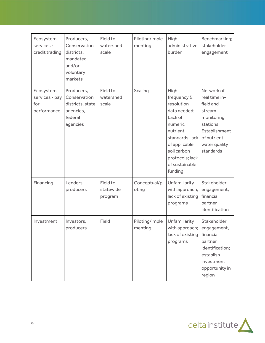| Ecosystem<br>services -<br>credit trading         | Producers,<br>Conservation<br>districts,<br>mandated<br>and/or<br>voluntary<br>markets | Field to<br>watershed<br>scale   | Piloting/imple<br>menting | High<br>administrative<br>burden                                                                                                                                                       | Benchmarking;<br>stakeholder<br>engagement                                                                                                  |
|---------------------------------------------------|----------------------------------------------------------------------------------------|----------------------------------|---------------------------|----------------------------------------------------------------------------------------------------------------------------------------------------------------------------------------|---------------------------------------------------------------------------------------------------------------------------------------------|
| Ecosystem<br>services - pay<br>for<br>performance | Producers,<br>Conservation<br>districts, state<br>agencies,<br>federal<br>agencies     | Field to<br>watershed<br>scale   | <b>Scaling</b>            | High<br>frequency &<br>resolution<br>data needed;<br>Lack of<br>numeric<br>nutrient<br>standards; lack<br>of applicable<br>soil carbon<br>protocols; lack<br>of sustainable<br>funding | Network of<br>real time in-<br>field and<br>stream<br>monitoring<br>stations;<br>Establishment<br>of nutrient<br>water quality<br>standards |
| Financing                                         | Lenders,<br>producers                                                                  | Field to<br>statewide<br>program | Conceptual/pil<br>oting   | Unfamiliarity<br>with approach;<br>lack of existing<br>programs                                                                                                                        | Stakeholder<br>engagement;<br>financial<br>partner<br>identification                                                                        |
| Investment                                        | Investors,<br>producers                                                                | Field                            | Piloting/imple<br>menting | Unfamiliarity<br>with approach; engagement,<br>lack of existing<br>programs                                                                                                            | Stakeholder<br>financial<br>partner<br>identification;<br>establish<br>investment<br>opportunity in<br>region                               |

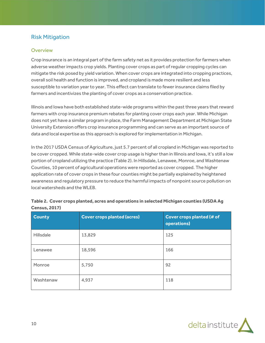# <span id="page-9-0"></span>Risk Mitigation

#### <span id="page-9-1"></span>**Overview**

Crop insurance is an integral part of the farm safety net as it provides protection for farmers when adverse weather impacts crop yields. Planting cover crops as part of regular cropping cycles can mitigate the risk posed by yield variation. When cover crops are integrated into cropping practices, overall soil health and function is improved, and cropland is made more resilient and less susceptible to variation year to year. This effect can translate to fewer insurance claims filed by farmers and incentivizes the planting of cover crops as a conservation practice.

Illinois and Iowa have both established state-wide programs within the past three years that reward farmers with crop insurance premium rebates for planting cover crops each year. While Michigan does not yet have a similar program in place, the Farm Management Department at Michigan State University Extension offers crop insurance programming and can serve as an important source of data and local expertise as this approach is explored for implementation in Michigan.

In the 2017 USDA Census of Agriculture, just 5.7 percent of all cropland in Michigan was reported to be cover cropped. While state-wide cover crop usage is higher than in Illinois and Iowa, it's still a low portion of cropland utilizing the practice (Table 2). In Hillsdale, Lenawee, Monroe, and Washtenaw Counties, 10 percent of agricultural operations were reported as cover cropped. The higher application rate of cover crops in these four counties might be partially explained by heightened awareness and regulatory pressure to reduce the harmful impacts of nonpoint source pollution on local watersheds and the WLEB.

| <b>County</b>    | <b>Cover crops planted (acres)</b> | <b>Cover crops planted (# of</b><br>operations) |
|------------------|------------------------------------|-------------------------------------------------|
| <b>Hillsdale</b> | 13,829                             | 125                                             |
| Lenawee          | 18,596                             | 166                                             |
| Monroe           | 5,750                              | 92                                              |
| Washtenaw        | 4,937                              | 118                                             |

|                      | Table 2. Cover crops planted, acres and operations in selected Michigan counties (USDA Ag |
|----------------------|-------------------------------------------------------------------------------------------|
| <b>Census, 2017)</b> |                                                                                           |

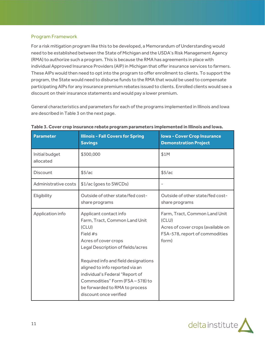## <span id="page-10-0"></span>Program Framework

For a risk mitigation program like this to be developed, a Memorandum of Understanding would need to be established between the State of Michigan and the USDA's Risk Management Agency (RMA) to authorize such a program. This is because the RMA has agreements in place with individual Approved Insurance Providers (AIP) in Michigan that offer insurance services to farmers. These AIPs would then need to opt into the program to offer enrollment to clients. To support the program, the State would need to disburse funds to the RMA that would be used to compensate participating AIPs for any insurance premium rebates issued to clients. Enrolled clients would see a discount on their insurance statements and would pay a lower premium.

General characteristics and parameters for each of the programs implemented in Illinois and Iowa are described in Table 3 on the next page.

| <b>Parameter</b>            | <b>Illinois - Fall Covers for Spring</b><br><b>Savings</b>                                                                                                                                                                                                                                                                                            | <b>Iowa - Cover Crop Insurance</b><br><b>Demonstration Project</b>                                                      |
|-----------------------------|-------------------------------------------------------------------------------------------------------------------------------------------------------------------------------------------------------------------------------------------------------------------------------------------------------------------------------------------------------|-------------------------------------------------------------------------------------------------------------------------|
| Initial budget<br>allocated | \$300,000                                                                                                                                                                                                                                                                                                                                             | \$1M                                                                                                                    |
| <b>Discount</b>             | \$5/ac                                                                                                                                                                                                                                                                                                                                                | \$5/ac                                                                                                                  |
| Administrative costs        | \$1/ac (goes to SWCDs)                                                                                                                                                                                                                                                                                                                                |                                                                                                                         |
| Eligibility                 | Outside of other state/fed cost-<br>share programs                                                                                                                                                                                                                                                                                                    | Outside of other state/fed cost-<br>share programs                                                                      |
| Application info            | Applicant contact info<br>Farm, Tract, Common Land Unit<br>(CLU)<br>Field #s<br>Acres of cover crops<br>Legal Description of fields/acres<br>Required info and field designations<br>aligned to info reported via an<br>individual's Federal "Report of<br>Commodities" Form (FSA-578) to<br>be forwarded to RMA to process<br>discount once verified | Farm, Tract, Common Land Unit<br>(CLU)<br>Acres of cover crops (available on<br>FSA-578, report of commodities<br>form) |

#### **Table 3. Cover crop insurance rebate program parameters implemented in Illinois and Iowa.**

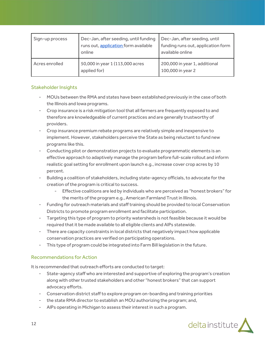| Sign-up process | Dec-Jan, after seeding, until funding<br>runs out, application form available<br>online | Dec-Jan, after seeding, until<br>funding runs out, application form<br>available online |
|-----------------|-----------------------------------------------------------------------------------------|-----------------------------------------------------------------------------------------|
| Acres enrolled  | 50,000 in year 1 (113,000 acres<br>applied for)                                         | 200,000 in year 1, additional<br>100,000 in year 2                                      |

## <span id="page-11-0"></span>Stakeholder Insights

- MOUs between the RMA and states have been established previously in the case of both the Illinois and Iowa programs.
- Crop insurance is a risk mitigation tool that all farmers are frequently exposed to and therefore are knowledgeable of current practices and are generally trustworthy of providers.
- Crop insurance premium rebate programs are relatively simple and inexpensive to implement. However, stakeholders perceive the State as being reluctant to fund new programs like this.
- Conducting pilot or demonstration projects to evaluate programmatic elements is an effective approach to adaptively manage the program before full-scale rollout and inform realistic goal setting for enrollment upon launch e.g., increase cover crop acres by 10 percent.
- Building a coalition of stakeholders, including state-agency officials, to advocate for the creation of the program is critical to success.
	- Effective coalitions are led by individuals who are perceived as "honest brokers" for the merits of the program e.g., American Farmland Trust in Illinois.
- Funding for outreach materials and staff training should be provided to local Conservation Districts to promote program enrollment and facilitate participation.
- Targeting this type of program to priority watersheds is not feasible because it would be required that it be made available to all eligible clients and AIPs statewide.
- There are capacity constraints in local districts that negatively impact how applicable conservation practices are verified on participating operations.
- This type of program could be integrated into Farm Bill legislation in the future.

## <span id="page-11-1"></span>Recommendations for Action

It is recommended that outreach efforts are conducted to target:

- State-agency staff who are interested and supportive of exploring the program's creation along with other trusted stakeholders and other "honest brokers" that can support advocacy efforts.
- Conservation district staff to explore program on-boarding and training priorities
- the state RMA director to establish an MOU authorizing the program; and,
- AIPs operating in Michigan to assess their interest in such a program.

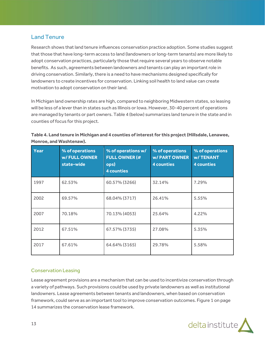# <span id="page-12-0"></span>Land Tenure

Research shows that land tenure influences conservation practice adoption. Some studies suggest that those that have long-term access to land (landowners or long-term tenants) are more likely to adopt conservation practices, particularly those that require several years to observe notable benefits. As such, agreements between landowners and tenants can play an important role in driving conservation. Similarly, there is a need to have mechanisms designed specifically for landowners to create incentives for conservation. Linking soil health to land value can create motivation to adopt conservation on their land.

In Michigan land ownership rates are high, compared to neighboring Midwestern states, so leasing will be less of a lever than in states such as Illinois or Iowa. However, 30-40 percent of operations are managed by tenants or part owners. Table 4 (below) summarizes land tenure in the state and in counties of focus for this project.

| Table 4. Land tenure in Michigan and 4 counties of interest for this project (Hillsdale, Lenawee, |  |
|---------------------------------------------------------------------------------------------------|--|
| Monroe, and Washtenaw).                                                                           |  |

| Year | % of operations<br>w/FULLOWNER<br>state-wide | % of operations w/<br><b>FULL OWNER (#</b><br>ops)<br><b>4 counties</b> | % of operations<br><b>w/PARTOWNER</b><br><b>4 counties</b> | % of operations<br><b>w/TENANT</b><br><b>4 counties</b> |
|------|----------------------------------------------|-------------------------------------------------------------------------|------------------------------------------------------------|---------------------------------------------------------|
| 1997 | 62.53%                                       | 60.57% (3266)                                                           | 32.14%                                                     | 7.29%                                                   |
| 2002 | 69.57%                                       | 68.04% (3717)                                                           | 26.41%                                                     | 5.55%                                                   |
| 2007 | 70.18%                                       | 70.13% (4053)                                                           | 25.64%                                                     | 4.22%                                                   |
| 2012 | 67.51%                                       | 67.57% (3735)                                                           | 27.08%                                                     | 5.35%                                                   |
| 2017 | 67.61%                                       | 64.64% (3165)                                                           | 29.78%                                                     | 5.58%                                                   |

## <span id="page-12-1"></span>Conservation Leasing

Lease agreement provisions are a mechanism that can be used to incentivize conservation through a variety of pathways. Such provisions could be used by private landowners as well as institutional landowners. Lease agreements between tenants and landowners, when based on conservation framework, could serve as an important tool to improve conservation outcomes. Figure 1 on page 14 summarizes the conservation lease framework.

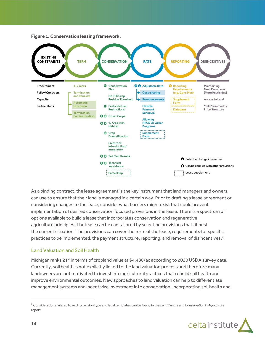

**Figure 1. Conservation leasing framework.**

As a binding contract, the lease agreement is the key instrument that land managers and owners can use to ensure that their land is managed in a certain way. Prior to drafting a lease agreement or considering changes to the lease, consider what barriers might exist that could prevent implementation of desired conservation focused provisions in the lease. There is a spectrum of options available to build a lease that incorporates conservation and regenerative agriculture principles. The lease can be can tailored by selecting provisions that fit best the current situation. The provisions can cover the term of the lease, requirements for specific practices to be implemented, the payment structure, reporting, and removal of disincentives.<sup>2</sup>

#### <span id="page-13-0"></span>Land Valuation and Soil Health

Michigan ranks 21<sup>st</sup> in terms of cropland value at \$4,480/ac according to 2020 USDA survey data. Currently, soil health is not explicitly linked to the land valuation process and therefore many landowners are not motivated to invest into agricultural practices that rebuild soil health and improve environmental outcomes. New approaches to land valuation can help to differentiate management systems and incentivize investment into conservation. Incorporating soil health and

<sup>2</sup> Considerations related to each provision type and legal templates can be found in the *Land Tenure and Conservation in Agriculture*  report.

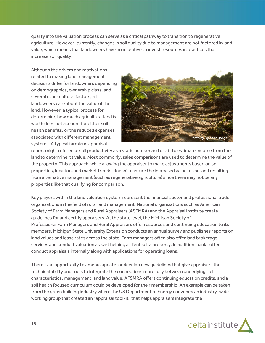quality into the valuation process can serve as a critical pathway to transition to regenerative agriculture. However, currently, changes in soil quality due to management are not factored in land value, which means that landowners have no incentive to invest resources in practices that increase soil quality.

Although the drivers and motivations related to making land management decisions differ for landowners depending on demographics, ownership class, and several other cultural factors, all landowners care about the value of their land. However, a typical process for determining how much agricultural land is worth does not account for either soil health benefits, or the reduced expenses associated with different management systems. A typical farmland appraisal



report might reference soil productivity as a static number and use it to estimate income from the land to determine its value. Most commonly, sales comparisons are used to determine the value of the property. This approach, while allowing the appraiser to make adjustments based on soil properties, location, and market trends, doesn't capture the increased value of the land resulting from alternative management (such as regenerative agriculture) since there may not be any properties like that qualifying for comparison.

Key players within the land valuation system represent the financial sector and professional trade organizations in the field of rural land management. National organizations such as American Society of Farm Managers and Rural Appraisers (ASFMRA) and the Appraisal Institute create guidelines for and certify appraisers. At the state level, the [Michigan Society of](https://www.asfmra.org/michigan/home) [Professional Farm Managers and Rural Appraisers](https://www.asfmra.org/michigan/home) offer resources and continuing education to its members. Michigan State University Extension conducts an annual survey and publishes reports on land values and lease rates across the state. Farm managers often also offer land brokerage services and conduct valuation as part helping a client sell a property. In addition, banks often conduct appraisals internally along with applications for operating loans.

There is an opportunity to amend, update, or develop new guidelines that give appraisers the technical ability and tools to integrate the connections more fully between underlying soil characteristics, management, and land value. AFSMRA offers continuing education credits, and a soil health focused curriculum could be developed for their membership. An example can be taken from the green building industry where the US Department of Energy convened an industry-wide working group that created an "appraisal toolkit" that helps appraisers integrate the

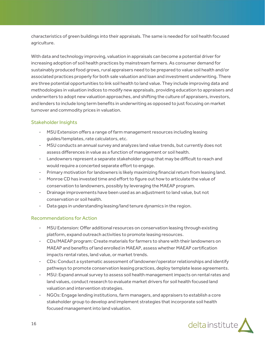characteristics of green buildings into their appraisals. The same is needed for soil health focused agriculture.

With data and technology improving, valuation in appraisals can become a potential driver for increasing adoption of soil health practices by mainstream farmers. As consumer demand for sustainably produced food grows, rural appraisers need to be prepared to value soil health and/or associated practices properly for both sale valuation and loan and investment underwriting. There are three potential opportunities to link soil health to land value. They include improving data and methodologies in valuation indices to modify new appraisals, providing education to appraisers and underwriters to adopt new valuation approaches, and shifting the culture of appraisers, investors, and lenders to include long term benefits in underwriting as opposed to just focusing on market turnover and commodity prices in valuation.

## <span id="page-15-0"></span>Stakeholder Insights

- MSU Extension offers a range of farm management resources including leasing guides/templates, rate calculators, etc.
- MSU conducts an annual survey and analyzes land value trends, but currently does not assess differences in value as a function of management or soil health.
- Landowners represent a separate stakeholder group that may be difficult to reach and would require a concerted separate effort to engage.
- Primary motivation for landowners is likely maximizing financial return from leasing land.
- Monroe CD has invested time and effort to figure out how to articulate the value of conservation to landowners, possibly by leveraging the MAEAP program.
- Drainage improvements have been used as an adjustment to land value, but not conservation or soil health.
- Data gaps in understanding leasing/land tenure dynamics in the region.

## <span id="page-15-1"></span>Recommendations for Action

- MSU Extension: Offer additional resources on conservation leasing through existing platform, expand outreach activities to promote leasing resources.
- CDs/MAEAP program: Create materials for farmers to share with their landowners on MAEAP and benefits of land enrolled in MAEAP, assess whether MAEAP certification impacts rental rates, land value, or market trends.
- CDs: Conduct a systematic assessment of landowner/operator relationships and identify pathways to promote conservation leasing practices, deploy template lease agreements.
- MSU: Expand annual survey to assess soil health management impacts on rental rates and land values, conduct research to evaluate market drivers for soil health focused land valuation and intervention strategies.
- NGOs: Engage lending institutions, farm managers, and appraisers to establish a core stakeholder group to develop and implement strategies that incorporate soil health focused management into land valuation.

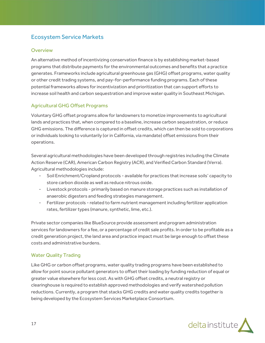# <span id="page-16-0"></span>Ecosystem Service Markets

#### <span id="page-16-1"></span>**Overview**

An alternative method of incentivizing conservation finance is by establishing market-based programs that distribute payments for the environmental outcomes and benefits that a practice generates. Frameworks include agricultural greenhouse gas (GHG) offset programs, water quality or other credit trading systems, and pay-for-performance funding programs. Each of these potential frameworks allows for incentivization and prioritization that can support efforts to increase soil health and carbon sequestration and improve water quality in Southeast Michigan.

## <span id="page-16-2"></span>Agricultural GHG Offset Programs

Voluntary GHG offset programs allow for landowners to monetize improvements to agricultural lands and practices that, when compared to a baseline, increase carbon sequestration, or reduce GHG emissions. The difference is captured in offset credits, which can then be sold to corporations or individuals looking to voluntarily (or in California, via mandate) offset emissions from their operations.

Several agricultural methodologies have been developed through registries including the Climate Action Reserve (CAR), American Carbon Registry (ACR), and Verified Carbon Standard (Verra). Agricultural methodologies include:

- Soil Enrichment/Cropland protocols available for practices that increase soils' capacity to store carbon dioxide as well as reduce nitrous oxide.
- Livestock protocols primarily based on manure storage practices such as installation of anaerobic digesters and feeding strategies management.
- Fertilizer protocols related to farm nutrient management including fertilizer application rates, fertilizer types (manure, synthetic, lime, etc.).

Private sector companies like BlueSource provide assessment and program administration services for landowners for a fee, or a percentage of credit sale profits. In order to be profitable as a credit generation project, the land area and practice impact must be large enough to offset these costs and administrative burdens.

## <span id="page-16-3"></span>Water Quality Trading

Like GHG or carbon offset programs, water quality trading programs have been established to allow for point source pollutant generators to offset their loading by funding reduction of equal or greater value elsewhere for less cost. As with GHG offset credits, a neutral registry or clearinghouse is required to establish approved methodologies and verify watershed pollution reductions. Currently, a program that stacks GHG credits and water quality credits together is being developed by the Ecosystem Services Marketplace Consortium.

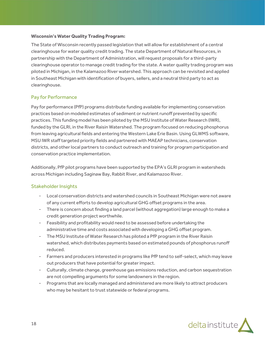#### <span id="page-17-0"></span>**Wisconsin's Water Quality Trading Program:**

The State of Wisconsin recently passed legislation that will allow for establishment of a central clearinghouse for water quality credit trading. The state Department of Natural Resources, in partnership with the Department of Administration, will request proposals for a third-party clearinghouse operator to manage credit trading for the state. A water quality trading program was piloted in Michigan, in the Kalamazoo River watershed. This approach can be revisited and applied in Southeast Michigan with identification of buyers, sellers, and a neutral third party to act as clearinghouse.

## <span id="page-17-1"></span>Pay for Performance

Pay for performance (PfP) programs distribute funding available for implementing conservation practices based on modeled estimates of sediment or nutrient runoff prevented by specific practices. This funding model has been piloted by the MSU Institute of Water Research (IWR), funded by the GLRI, in the River Raisin Watershed. The program focused on reducing phosphorus from leaving agricultural fields and entering the Western Lake Erie Basin. Using GLWMS software, MSU IWR staff targeted priority fields and partnered with MAEAP technicians, conservation districts, and other local partners to conduct outreach and training for program participation and conservation practice implementation.

Additionally, PfP pilot programs have been supported by the EPA's GLRI program in watersheds across Michigan including Saginaw Bay, Rabbit River, and Kalamazoo River.

## <span id="page-17-2"></span>Stakeholder Insights

- Local conservation districts and watershed councils in Southeast Michigan were not aware of any current efforts to develop agricultural GHG offset programs in the area.
- There is concern about finding a land parcel (without aggregation) large enough to make a credit generation project worthwhile.
- Feasibility and profitability would need to be assessed before undertaking the administrative time and costs associated with developing a GHG offset program.
- The MSU Institute of Water Research has piloted a PfP program in the River Raisin watershed, which distributes payments based on estimated pounds of phosphorus runoff reduced.
- Farmers and producers interested in programs like PfP tend to self-select, which may leave out producers that have potential for greater impact.
- Culturally, climate change, greenhouse gas emissions reduction, and carbon sequestration are not compelling arguments for some landowners in the region.
- Programs that are locally managed and administered are more likely to attract producers who may be hesitant to trust statewide or federal programs.

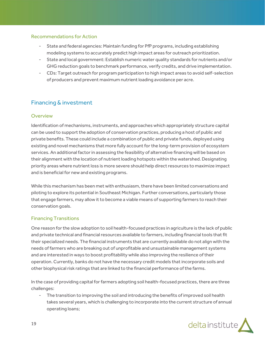#### <span id="page-18-0"></span>Recommendations for Action

- State and federal agencies: Maintain funding for PfP programs, including establishing modeling systems to accurately predict high impact areas for outreach prioritization.
- State and local government: Establish numeric water quality standards for nutrients and/or GHG reduction goals to benchmark performance, verify credits, and drive implementation.
- CDs: Target outreach for program participation to high impact areas to avoid self-selection of producers and prevent maximum nutrient loading avoidance per acre.

## <span id="page-18-1"></span>Financing & investment

#### <span id="page-18-2"></span>**Overview**

Identification of mechanisms, instruments, and approaches which appropriately structure capital can be used to support the adoption of conservation practices, producing a host of public and private benefits. These could include a combination of public and private funds, deployed using existing and novel mechanisms that more fully account for the long-term provision of ecosystem services. An additional factor in assessing the feasibility of alternative financing will be based on their alignment with the location of nutrient loading hotspots within the watershed. Designating priority areas where nutrient loss is more severe should help direct resources to maximize impact and is beneficial for new and existing programs.

While this mechanism has been met with enthusiasm, there have been limited conversations and piloting to explore its potential in Southeast Michigan. Further conversations, particularly those that engage farmers, may allow it to become a viable means of supporting farmers to reach their conservation goals.

#### <span id="page-18-3"></span>Financing Transitions

One reason for the slow adoption to soil health-focused practices in agriculture is the lack of public and private technical and financial resources available to farmers, including financial tools that fit their specialized needs. The financial instruments that are currently available do not align with the needs of farmers who are breaking out of unprofitable and unsustainable management systems and are interested in ways to boost profitability while also improving the resilience of their operation. Currently, banks do not have the necessary credit models that incorporate soils and other biophysical risk ratings that are linked to the financial performance of the farms.

In the case of providing capital for farmers adopting soil health-focused practices, there are three challenges:

- The transition to improving the soil and introducing the benefits of improved soil health takes several years, which is challenging to incorporate into the current structure of annual operating loans;

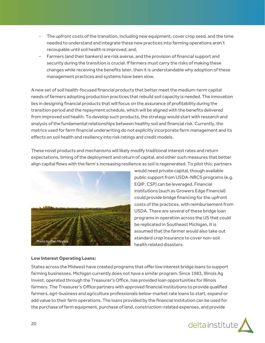- The upfront costs of the transition, including new equipment, cover crop seed, and the time needed to understand and integrate these new practices into farming operations aren't recoupable until soil health is improved; and,
- Farmers (and their bankers) are risk averse, and the provision of financial support and security during the transition is crucial. If farmers must carry the risks of making these changes while receiving the benefits later, then it is understandable why adoption of these management practices and systems have been slow.

A new set of soil health-focused financial products that better meet the medium-term capital needs of farmers adopting production practices that rebuild soil capacity is needed. The innovation lies in designing financial products that will focus on the assurance of profitability during the transition period and the repayment schedule, which will be aligned with the benefits delivered from improved soil health. To develop such products, the strategy would start with research and analysis of the fundamental relationships between healthy soil and financial risk. Currently, the metrics used for farm financial underwriting do not explicitly incorporate farm management and its effects on soil health and resiliency into risk ratings and credit models.

These novel products and mechanisms will likely modify traditional interest rates and return expectations, timing of the deployment and return of capital, and other such measures that better align capital flows with the farm's increasing resilience as soil is regenerated. To pilot this, partners



would need private capital, though available public support from USDA-NRCS programs (e.g. EQIP, CSP) can be leveraged. Financial institutions (such as Growers Edge Financial) could provide bridge financing for the upfront costs of the practices, with reimbursement from USDA. There are several of these bridge loan programs in operation across the US that could be replicated in Southeast Michigan. It is assumed that the farmer would also take out standard crop insurance to cover non-soil health related disasters.

#### <span id="page-19-0"></span>**Low Interest Operating Loans:**

States across the Midwest have created programs that offer low interest bridge loans to support farming businesses. Michigan currently does not have a similar program. Since 1983, Illinois Ag Invest, operated through the Treasurer's Office, has provided loan opportunities for Illinois farmers. The Treasurer's Office partners with approved financial institutions to provide qualified farmers, agri-business and agriculture professionals below-market rate loans to start, expand or add value to their farm operations. The loans provided by the financial institution can be used for the purchase of farm equipment, purchase of land, construction-related expenses, and provide

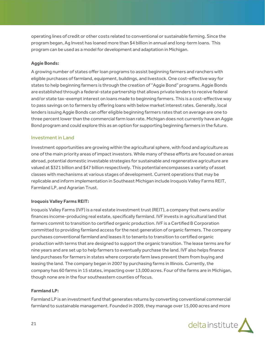operating lines of credit or other costs related to conventional or sustainable farming. Since the program began, Ag Invest has loaned more than \$4 billion in annual and long-term loans. This program can be used as a model for development and adaptation in Michigan.

#### <span id="page-20-0"></span>**Aggie Bonds:**

A growing number of states offer loan programs to assist beginning farmers and ranchers with eligible purchases of farmland, equipment, buildings, and livestock. One cost-effective way for states to help beginning farmers is through the creation of "Aggie Bond" programs. Aggie Bonds are established through a federal-state partnership that allows private lenders to receive federal and/or state tax-exempt interest on loans made to beginning farmers. This is a cost-effective way to pass savings on to farmers by offering loans with below market interest rates. Generally, local lenders issuing Aggie Bonds can offer eligible beginning farmers rates that on average are one to three percent lower than the commercial farm loan rate. Michigan does not currently have an Aggie Bond program and could explore this as an option for supporting beginning farmers in the future.

#### <span id="page-20-1"></span>Investment in Land

Investment opportunities are growing within the agricultural sphere, with food and agriculture as one of the main priority areas of impact investors. While many of these efforts are focused on areas abroad, potential domestic investable strategies for sustainable and regenerative agriculture are valued at \$321 billion and \$47 billion respectively. This potential encompasses a variety of asset classes with mechanisms at various stages of development. Current operations that may be replicable and inform implementation in Southeast Michigan include Iroquois Valley Farms REIT, Farmland LP, and Agrarian Trust.

#### <span id="page-20-2"></span>**Iroquois Valley Farms REIT:**

Iroquois Valley Farms (IVF) is a real estate investment trust (REIT), a company that owns and/or finances income-producing real estate, specifically farmland. IVF invests in agricultural land that farmers commit to transition to certified organic production. IVF is a Certified B Corporation committed to providing farmland access for the next generation of organic farmers. The company purchases conventional farmland and leases it to tenants to transition to certified organic production with terms that are designed to support the organic transition. The lease terms are for nine years and are set up to help farmers to eventually purchase the land. IVF also helps finance land purchases for farmers in states where corporate farm laws prevent them from buying and leasing the land. The company began in 2007 by purchasing farms in Illinois. Currently, the company has 60 farms in 15 states, impacting over 13,000 acres. Four of the farms are in Michigan, though none are in the four southeastern counties of focus.

#### <span id="page-20-3"></span>**Farmland LP:**

Farmland LP is an investment fund that generates returns by converting conventional commercial farmland to sustainable management. Founded in 2009, they manage over 15,000 acres and more

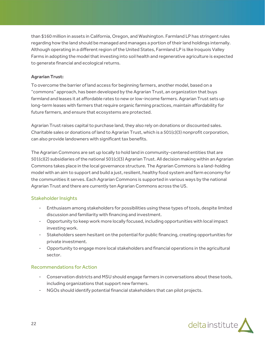than \$160 million in assets in California, Oregon, and Washington. Farmland LP has stringent rules regarding how the land should be managed and manages a portion of their land holdings internally. Although operating in a different region of the United States, Farmland LP is like Iroquois Valley Farms in adopting the model that investing into soil health and regenerative agriculture is expected to generate financial and ecological returns.

#### <span id="page-21-0"></span>**Agrarian Trust:**

To overcome the barrier of land access for beginning farmers, another model, based on a "commons" approach, has been developed by the Agrarian Trust, an organization that buys farmland and leases it at affordable rates to new or low-income farmers. Agrarian Trust sets up long-term leases with farmers that require organic farming practices, maintain affordability for future farmers, and ensure that ecosystems are protected.

Agrarian Trust raises capital to purchase land, they also rely on donations or discounted sales. Charitable sales or donations of land to Agrarian Trust, which is a 501(c)(3) nonprofit corporation, can also provide landowners with significant tax benefits.

The Agrarian Commons are set up locally to hold land in community-centered entities that are 501(c)(2) subsidiaries of the national 501(c)(3) Agrarian Trust. All decision making within an Agrarian Commons takes place in the local governance structure. The Agrarian Commons is a land-holding model with an aim to support and build a just, resilient, healthy food system and farm economy for the communities it serves. Each Agrarian Commons is supported in various ways by the national Agrarian Trust and there are currently ten Agrarian Commons across the US.

## <span id="page-21-1"></span>Stakeholder Insights

- Enthusiasm among stakeholders for possibilities using these types of tools, despite limited discussion and familiarity with financing and investment.
- Opportunity to keep work more locally focused, including opportunities with local impact investing work.
- Stakeholders seem hesitant on the potential for public financing, creating opportunities for private investment.
- Opportunity to engage more local stakeholders and financial operations in the agricultural sector.

#### <span id="page-21-2"></span>Recommendations for Action

- Conservation districts and MSU should engage farmers in conversations about these tools, including organizations that support new farmers.
- NGOs should identify potential financial stakeholders that can pilot projects.

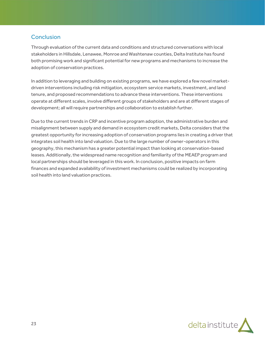# <span id="page-22-0"></span>**Conclusion**

Through evaluation of the current data and conditions and structured conversations with local stakeholders in Hillsdale, Lenawee, Monroe and Washtenaw counties, Delta Institute has found both promising work and significant potential for new programs and mechanisms to increase the adoption of conservation practices.

In addition to leveraging and building on existing programs, we have explored a few novel marketdriven interventions including risk mitigation, ecosystem service markets, investment, and land tenure, and proposed recommendations to advance these interventions. These interventions operate at different scales, involve different groups of stakeholders and are at different stages of development; all will require partnerships and collaboration to establish further.

Due to the current trends in CRP and incentive program adoption, the administrative burden and misalignment between supply and demand in ecosystem credit markets, Delta considers that the greatest opportunity for increasing adoption of conservation programs lies in creating a driver that integrates soil health into land valuation. Due to the large number of owner-operators in this geography, this mechanism has a greater potential impact than looking at conservation-based leases. Additionally, the widespread name recognition and familiarity of the MEAEP program and local partnerships should be leveraged in this work. In conclusion, positive impacts on farm finances and expanded availability of investment mechanisms could be realized by incorporating soil health into land valuation practices.

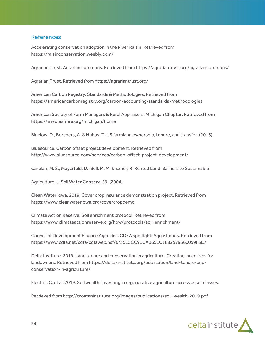## <span id="page-23-0"></span>References

Accelerating conservation adoption in the River Raisin. Retrieved from https://raisinconservation.weebly.com/

Agrarian Trust. Agrarian commons. Retrieved from https://agrariantrust.org/agrariancommons/

Agrarian Trust. Retrieved from https://agrariantrust.org/

American Carbon Registry. Standards & Methodologies. Retrieved from https://americancarbonregistry.org/carbon-accounting/standards-methodologies

American Society of Farm Managers & Rural Appraisers: Michigan Chapter. Retrieved from https://www.asfmra.org/michigan/home

Bigelow, D., Borchers, A. & Hubbs, T. US farmland ownership, tenure, and transfer. (2016).

Bluesource. Carbon offset project development. Retrieved from http://www.bluesource.com/services/carbon-offset-project-development/

Carolan, M. S., Mayerfeld, D., Bell, M. M. & Exner, R. Rented Land: Barriers to Sustainable

Agriculture. J. Soil Water Conserv. 59, (2004).

Clean Water Iowa. 2019. Cover crop insurance demonstration project. Retrieved from https://www.cleanwateriowa.org/covercropdemo

Climate Action Reserve. Soil enrichment protocol. Retrieved from https://www.climateactionreserve.org/how/protocols/soil-enrichment/

Council of Development Finance Agencies. CDFA spotlight: Aggie bonds. Retrieved from https://www.cdfa.net/cdfa/cdfaweb.nsf/0/3515CC91CAB651C1882579360059F5E7

Delta Institute. 2019. Land tenure and conservation in agriculture: Creating incentives for landowners. Retrieved from https://delta-institute.org/publication/land-tenure-andconservation-in-agriculture/

Electris, C. et al. 2019. Soil wealth: Investing in regenerative agriculture across asset classes.

Retrieved from http://croataninstitute.org/images/publications/soil-wealth-2019.pdf

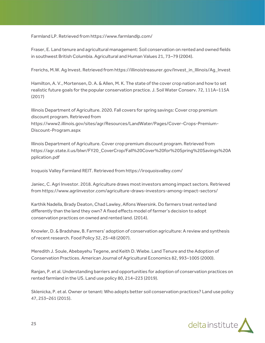Farmland LP. Retrieved from https://www.farmlandlp.com/

Fraser, E. Land tenure and agricultural management: Soil conservation on rented and owned fields in southwest British Columbia. Agricultural and Human Values 21, 73–79 (2004).

Frerichs, M.W. Ag Invest. Retrieved from https://illinoistreasurer.gov/Invest\_in\_Illinois/Ag\_Invest

Hamilton, A. V., Mortensen, D. A. & Allen, M. K. The state of the cover crop nation and how to set realistic future goals for the popular conservation practice. J. Soil Water Conserv. 72, 111A–115A (2017)

Illinois Department of Agriculture. 2020. Fall covers for spring savings: Cover crop premium discount program. Retrieved from https://www2.illinois.gov/sites/agr/Resources/LandWater/Pages/Cover-Crops-Premium-Discount-Program.aspx

Illinois Department of Agriculture. Cover crop premium discount program. Retrieved from https://agr.state.il.us/blwr/FY20\_CoverCrop/Fall%20Cover%20for%20Spring%20Savings%20A pplication.pdf

Iroquois Valley Farmland REIT. Retrieved from https://iroquoisvalley.com/

Janiec, C. Agri Investor. 2018. Agriculture draws most investors among impact sectors. Retrieved from https://www.agriinvestor.com/agriculture-draws-investors-among-impact-sectors/

Karthik Nadella, Brady Deaton, Chad Lawley, Alfons Weersink. Do farmers treat rented land differently than the land they own? A fixed effects model of farmer's decision to adopt conservation practices on owned and rented land. (2014).

Knowler, D. & Bradshaw, B. Farmers' adoption of conservation agriculture: A review and synthesis of recent research. Food Policy 32, 25–48 (2007).

Meredith J. Soule, Abebayehu Tegene, and Keith D. Wiebe. Land Tenure and the Adoption of Conservation Practices. American Journal of Agricultural Economics 82, 993–1005 (2000).

Ranjan, P. et al. Understanding barriers and opportunities for adoption of conservation practices on rented farmland in the US. Land use policy 80, 214–223 (2019).

Sklenicka, P. et al. Owner or tenant: Who adopts better soil conservation practices? Land use policy 47, 253–261 (2015).